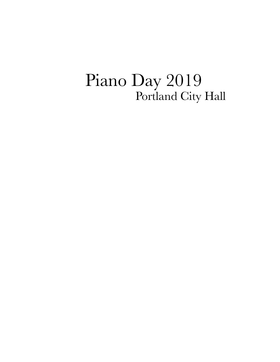## Piano Day 2019 Portland City Hall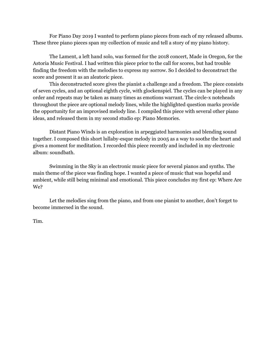For Piano Day 2019 I wanted to perform piano pieces from each of my released albums. These three piano pieces span my collection of music and tell a story of my piano history.

The Lament, a left hand solo, was formed for the 2018 concert, Made in Oregon, for the Astoria Music Festival. I had written this piece prior to the call for scores, but had trouble finding the freedom with the melodies to express my sorrow. So I decided to deconstruct the score and present it as an aleatoric piece.

This deconstructed score gives the pianist a challenge and a freedom. The piece consists of seven cycles, and an optional eighth cycle, with glockenspiel. The cycles can be played in any order and repeats may be taken as many times as emotions warrant. The circle-x noteheads throughout the piece are optional melody lines, while the highlighted question marks provide the opportunity for an improvised melody line. I compiled this piece with several other piano ideas, and released them in my second studio ep: Piano Memories.

Distant Piano Winds is an exploration in arpeggiated harmonies and blending sound together. I composed this short lullaby-esque melody in 2005 as a way to soothe the heart and gives a moment for meditation. I recorded this piece recently and included in my electronic album: soundbath.

Swimming in the Sky is an electronic music piece for several pianos and synths. The main theme of the piece was finding hope. I wanted a piece of music that was hopeful and ambient, while still being minimal and emotional. This piece concludes my first ep: Where Are We?

Let the melodies sing from the piano, and from one pianist to another, don't forget to become immersed in the sound.

Tim.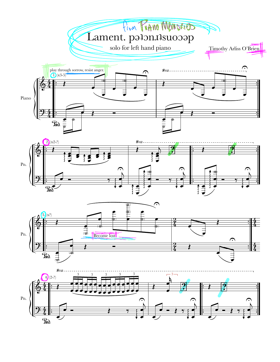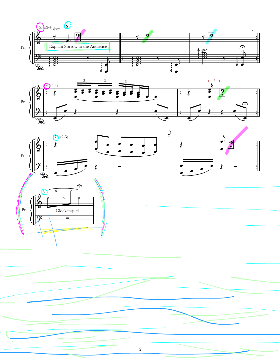





 $\sqrt{2}$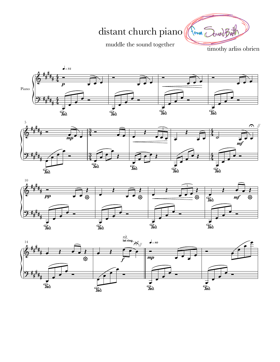distant church piano

muddle the sound together

timothy arliss obrien

 $\frac{1}{\sqrt{1}}$  Merk







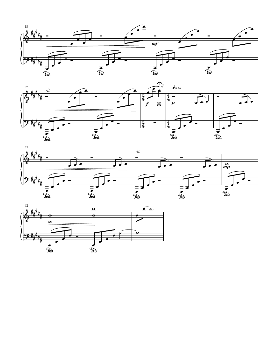